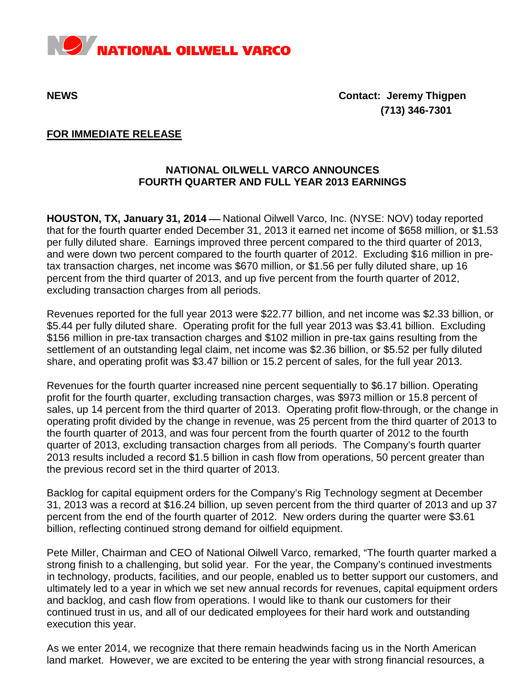

**NEWS****Contact: Jeremy Thigpen (713) 346-7301**

## **FOR IMMEDIATE RELEASE**

## **NATIONAL OILWELL VARCO ANNOUNCES FOURTH QUARTER AND FULL YEAR 2013 EARNINGS**

**HOUSTON, TX, January 31, 2014** — National Oilwell Varco, Inc. (NYSE: NOV) today reported that for the fourth quarter ended December 31, 2013 it earned net income of \$658 million, or \$1.53 per fully diluted share. Earnings improved three percent compared to the third quarter of 2013, and were down two percent compared to the fourth quarter of 2012. Excluding \$16 million in pretax transaction charges, net income was \$670 million, or \$1.56 per fully diluted share, up 16 percent from the third quarter of 2013, and up five percent from the fourth quarter of 2012, excluding transaction charges from all periods.

Revenues reported for the full year 2013 were \$22.77 billion, and net income was \$2.33 billion, or \$5.44 per fully diluted share. Operating profit for the full year 2013 was \$3.41 billion. Excluding \$156 million in pre-tax transaction charges and \$102 million in pre-tax gains resulting from the settlement of an outstanding legal claim, net income was \$2.36 billion, or \$5.52 per fully diluted share, and operating profit was \$3.47 billion or 15.2 percent of sales, for the full year 2013.

Revenues for the fourth quarter increased nine percent sequentially to \$6.17 billion. Operating profit for the fourth quarter, excluding transaction charges, was \$973 million or 15.8 percent of sales, up 14 percent from the third quarter of 2013. Operating profit flow-through, or the change in operating profit divided by the change in revenue, was 25 percent from the third quarter of 2013 to the fourth quarter of 2013, and was four percent from the fourth quarter of 2012 to the fourth quarter of 2013, excluding transaction charges from all periods. The Company's fourth quarter 2013 results included a record \$1.5 billion in cash flow from operations, 50 percent greater than the previous record set in the third quarter of 2013.

Backlog for capital equipment orders for the Company's Rig Technology segment at December 31, 2013 was a record at \$16.24 billion, up seven percent from the third quarter of 2013 and up 37 percent from the end of the fourth quarter of 2012. New orders during the quarter were \$3.61 billion, reflecting continued strong demand for oilfield equipment.

Pete Miller, Chairman and CEO of National Oilwell Varco, remarked, "The fourth quarter marked a strong finish to a challenging, but solid year. For the year, the Company's continued investments in technology, products, facilities, and our people, enabled us to better support our customers, and ultimately led to a year in which we set new annual records for revenues, capital equipment orders and backlog, and cash flow from operations. I would like to thank our customers for their continued trust in us, and all of our dedicated employees for their hard work and outstanding execution this year.

As we enter 2014, we recognize that there remain headwinds facing us in the North American land market. However, we are excited to be entering the year with strong financial resources, a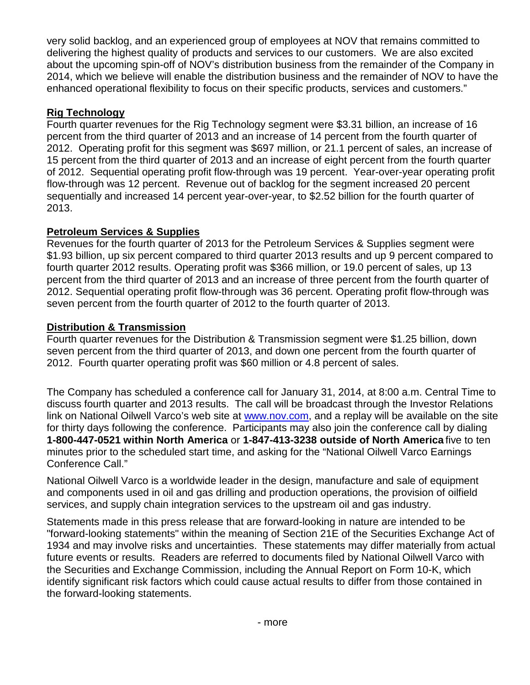very solid backlog, and an experienced group of employees at NOV that remains committed to delivering the highest quality of products and services to our customers. We are also excited about the upcoming spin-off of NOV's distribution business from the remainder of the Company in 2014, which we believe will enable the distribution business and the remainder of NOV to have the enhanced operational flexibility to focus on their specific products, services and customers."

# **Rig Technology**

Fourth quarter revenues for the Rig Technology segment were \$3.31 billion, an increase of 16 percent from the third quarter of 2013 and an increase of 14 percent from the fourth quarter of 2012. Operating profit for this segment was \$697 million, or 21.1 percent of sales, an increase of 15 percent from the third quarter of 2013 and an increase of eight percent from the fourth quarter of 2012. Sequential operating profit flow-through was 19 percent. Year-over-year operating profit flow-through was 12 percent. Revenue out of backlog for the segment increased 20 percent sequentially and increased 14 percent year-over-year, to \$2.52 billion for the fourth quarter of 2013.

# **Petroleum Services & Supplies**

Revenues for the fourth quarter of 2013 for the Petroleum Services & Supplies segment were \$1.93 billion, up six percent compared to third quarter 2013 results and up 9 percent compared to fourth quarter 2012 results. Operating profit was \$366 million, or 19.0 percent of sales, up 13 percent from the third quarter of 2013 and an increase of three percent from the fourth quarter of 2012. Sequential operating profit flow-through was 36 percent. Operating profit flow-through was seven percent from the fourth quarter of 2012 to the fourth quarter of 2013.

# **Distribution & Transmission**

Fourth quarter revenues for the Distribution & Transmission segment were \$1.25 billion, down seven percent from the third quarter of 2013, and down one percent from the fourth quarter of 2012. Fourth quarter operating profit was \$60 million or 4.8 percent of sales.

The Company has scheduled a conference call for January 31, 2014, at 8:00 a.m. Central Time to discuss fourth quarter and 2013 results. The call will be broadcast through the Investor Relations link on National Oilwell Varco's web site at [www.nov.com,](http://www.nov.com/) and a replay will be available on the site for thirty days following the conference. Participants may also join the conference call by dialing **1-800-447-0521 within North America** or **1-847-413-3238 outside of North America** five to ten minutes prior to the scheduled start time, and asking for the "National Oilwell Varco Earnings Conference Call."

National Oilwell Varco is a worldwide leader in the design, manufacture and sale of equipment and components used in oil and gas drilling and production operations, the provision of oilfield services, and supply chain integration services to the upstream oil and gas industry.

Statements made in this press release that are forward-looking in nature are intended to be "forward-looking statements" within the meaning of Section 21E of the Securities Exchange Act of 1934 and may involve risks and uncertainties. These statements may differ materially from actual future events or results. Readers are referred to documents filed by National Oilwell Varco with the Securities and Exchange Commission, including the Annual Report on Form 10-K, which identify significant risk factors which could cause actual results to differ from those contained in the forward-looking statements.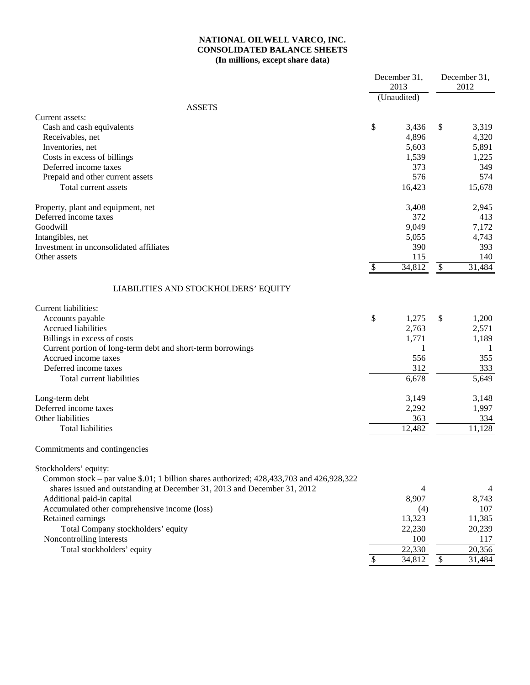### **NATIONAL OILWELL VARCO, INC. CONSOLIDATED BALANCE SHEETS (In millions, except share data)**

|                                                                                          | December 31,<br>2013 |              | December 31,<br>2012 |
|------------------------------------------------------------------------------------------|----------------------|--------------|----------------------|
|                                                                                          | (Unaudited)          |              |                      |
| <b>ASSETS</b>                                                                            |                      |              |                      |
| Current assets:                                                                          |                      |              |                      |
| Cash and cash equivalents                                                                | \$<br>3,436          | \$           | 3,319                |
| Receivables, net                                                                         | 4,896                |              | 4,320                |
| Inventories, net                                                                         | 5,603                |              | 5,891                |
| Costs in excess of billings                                                              | 1,539                |              | 1,225                |
| Deferred income taxes                                                                    | 373                  |              | 349                  |
| Prepaid and other current assets                                                         | 576                  |              | 574                  |
| Total current assets                                                                     | 16,423               |              | 15,678               |
| Property, plant and equipment, net                                                       | 3,408                |              | 2,945                |
| Deferred income taxes                                                                    | 372                  |              | 413                  |
| Goodwill                                                                                 | 9,049                |              | 7,172                |
| Intangibles, net                                                                         | 5,055                |              | 4,743                |
| Investment in unconsolidated affiliates                                                  | 390                  |              | 393                  |
| Other assets                                                                             | 115                  |              | 140                  |
|                                                                                          | \$<br>34,812         | $\$\,$       | 31,484               |
| LIABILITIES AND STOCKHOLDERS' EQUITY                                                     |                      |              |                      |
| Current liabilities:                                                                     |                      |              |                      |
| Accounts payable                                                                         | \$<br>1,275          | \$           | 1,200                |
| <b>Accrued liabilities</b>                                                               | 2,763                |              | 2,571                |
| Billings in excess of costs                                                              | 1,771                |              | 1,189                |
| Current portion of long-term debt and short-term borrowings                              | 1                    |              | 1                    |
| Accrued income taxes                                                                     | 556                  |              | 355                  |
| Deferred income taxes                                                                    | 312                  |              | 333                  |
| Total current liabilities                                                                | 6,678                |              | 5,649                |
|                                                                                          |                      |              |                      |
| Long-term debt                                                                           | 3,149                |              | 3,148                |
| Deferred income taxes                                                                    | 2,292                |              | 1,997                |
| Other liabilities                                                                        | 363                  |              | 334                  |
| <b>Total liabilities</b>                                                                 | 12,482               |              | 11,128               |
| Commitments and contingencies                                                            |                      |              |                      |
| Stockholders' equity:                                                                    |                      |              |                      |
| Common stock – par value \$.01; 1 billion shares authorized; 428,433,703 and 426,928,322 |                      |              |                      |
| shares issued and outstanding at December 31, 2013 and December 31, 2012                 | 4                    |              | 4                    |
| Additional paid-in capital                                                               | 8,907                |              | 8,743                |
| Accumulated other comprehensive income (loss)                                            | (4)                  |              | 107                  |
| Retained earnings                                                                        | 13,323               |              | 11,385               |
| Total Company stockholders' equity                                                       | 22,230               |              | 20,239               |
| Noncontrolling interests                                                                 | 100                  |              | 117                  |
| Total stockholders' equity                                                               | $\overline{2}2,330$  |              | 20,356               |
|                                                                                          | \$<br>34,812         | $\mathbb{S}$ | 31,484               |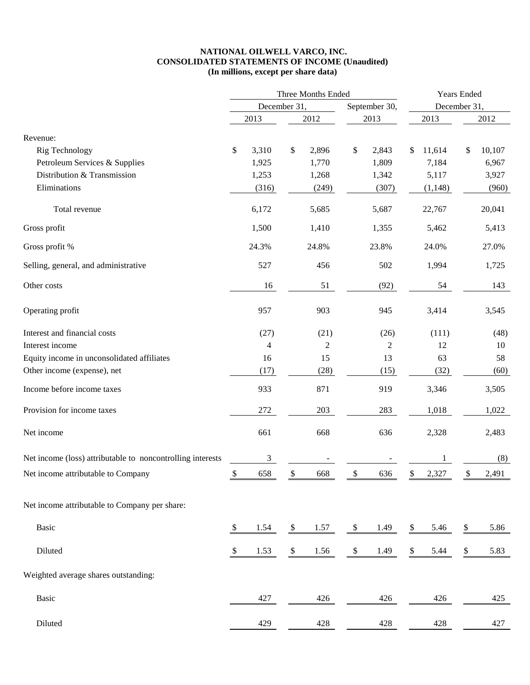#### **NATIONAL OILWELL VARCO, INC. CONSOLIDATED STATEMENTS OF INCOME (Unaudited) (In millions, except per share data)**

|                                                            | Three Months Ended |                |               |       |               |                |    | Years Ended |    |              |  |  |
|------------------------------------------------------------|--------------------|----------------|---------------|-------|---------------|----------------|----|-------------|----|--------------|--|--|
|                                                            | December 31,       |                |               |       |               | September 30,  |    |             |    | December 31, |  |  |
|                                                            |                    | 2013           |               | 2012  |               | 2013           |    | 2013        |    | 2012         |  |  |
| Revenue:                                                   |                    |                |               |       |               |                |    |             |    |              |  |  |
| Rig Technology                                             | \$                 | 3,310          | \$            | 2,896 | \$            | 2,843          | \$ | 11,614      | \$ | 10,107       |  |  |
| Petroleum Services & Supplies                              |                    | 1,925          |               | 1,770 |               | 1,809          |    | 7,184       |    | 6,967        |  |  |
| Distribution & Transmission                                |                    | 1,253          |               | 1,268 |               | 1,342          |    | 5,117       |    | 3,927        |  |  |
| Eliminations                                               |                    | (316)          |               | (249) |               | (307)          |    | (1,148)     |    | (960)        |  |  |
| Total revenue                                              |                    | 6,172          |               | 5,685 |               | 5,687          |    | 22,767      |    | 20,041       |  |  |
| Gross profit                                               |                    | 1,500          |               | 1,410 |               | 1,355          |    | 5,462       |    | 5,413        |  |  |
| Gross profit %                                             |                    | 24.3%          |               | 24.8% |               | 23.8%          |    | 24.0%       |    | 27.0%        |  |  |
| Selling, general, and administrative                       |                    | 527            |               | 456   |               | 502            |    | 1,994       |    | 1,725        |  |  |
| Other costs                                                |                    | 16             |               | 51    |               | (92)           |    | 54          |    | 143          |  |  |
| Operating profit                                           |                    | 957            |               | 903   |               | 945            |    | 3,414       |    | 3,545        |  |  |
| Interest and financial costs                               |                    | (27)           |               | (21)  |               | (26)           |    | (111)       |    | (48)         |  |  |
| Interest income                                            |                    | $\overline{4}$ |               | 2     |               | $\overline{c}$ |    | 12          |    | 10           |  |  |
| Equity income in unconsolidated affiliates                 |                    | 16             |               | 15    |               | 13             |    | 63          |    | 58           |  |  |
| Other income (expense), net                                |                    | (17)           |               | (28)  |               | (15)           |    | (32)        |    | (60)         |  |  |
| Income before income taxes                                 |                    | 933            |               | 871   |               | 919            |    | 3,346       |    | 3,505        |  |  |
| Provision for income taxes                                 |                    | 272            |               | 203   |               | 283            |    | 1,018       |    | 1,022        |  |  |
| Net income                                                 |                    | 661            |               | 668   |               | 636            |    | 2,328       |    | 2,483        |  |  |
| Net income (loss) attributable to noncontrolling interests |                    | 3              |               |       |               |                |    |             |    | (8)          |  |  |
| Net income attributable to Company                         | $\mathcal{S}$      | 658            | S.            | 668   | $\mathcal{S}$ | 636            |    | 2,327       | \$ | 2,491        |  |  |
| Net income attributable to Company per share:              |                    |                |               |       |               |                |    |             |    |              |  |  |
| Basic                                                      | \$                 | 1.54           | \$            | 1.57  | \$            | 1.49           | \$ | 5.46        | \$ | 5.86         |  |  |
| Diluted                                                    | \$                 | 1.53           | $\mathcal{L}$ | 1.56  | \$            | 1.49           | \$ | 5.44        | \$ | 5.83         |  |  |
| Weighted average shares outstanding:                       |                    |                |               |       |               |                |    |             |    |              |  |  |
| Basic                                                      |                    | 427            |               | 426   |               | 426            |    | 426         |    | 425          |  |  |
| Diluted                                                    |                    | 429            |               | 428   |               | 428            |    | 428         |    | 427          |  |  |
|                                                            |                    |                |               |       |               |                |    |             |    |              |  |  |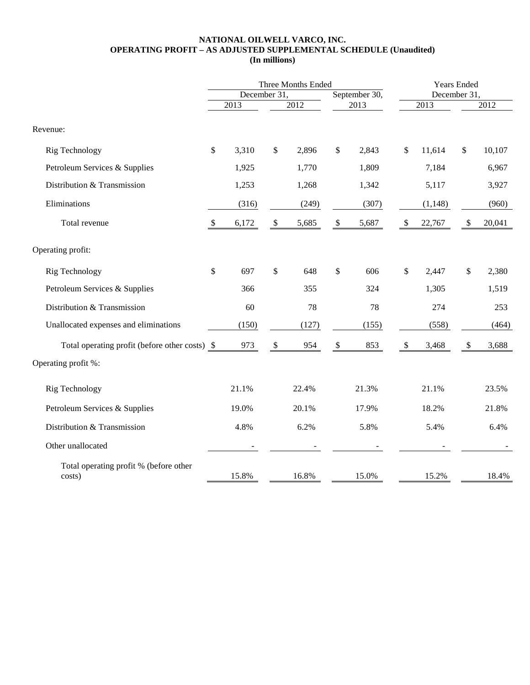#### **NATIONAL OILWELL VARCO, INC. OPERATING PROFIT – AS ADJUSTED SUPPLEMENTAL SCHEDULE (Unaudited) (In millions)**

|                                                  |                           |              | Three Months Ended        | Years Ended |                           |       |                           |              |                           |        |  |
|--------------------------------------------------|---------------------------|--------------|---------------------------|-------------|---------------------------|-------|---------------------------|--------------|---------------------------|--------|--|
|                                                  |                           | December 31, |                           |             | September 30,             |       |                           | December 31, |                           |        |  |
|                                                  |                           | 2013         |                           | 2012        | 2013                      |       |                           | 2013         | 2012                      |        |  |
| Revenue:                                         |                           |              |                           |             |                           |       |                           |              |                           |        |  |
| Rig Technology                                   | \$                        | 3,310        | \$                        | 2,896       | \$                        | 2,843 | \$                        | 11,614       | $\mathbb{S}$              | 10,107 |  |
| Petroleum Services & Supplies                    |                           | 1,925        |                           | 1,770       |                           | 1,809 |                           | 7,184        |                           | 6,967  |  |
| Distribution & Transmission                      |                           | 1,253        |                           | 1,268       |                           | 1,342 |                           | 5,117        |                           | 3,927  |  |
| Eliminations                                     |                           | (316)        |                           | (249)       |                           | (307) |                           | (1, 148)     |                           | (960)  |  |
| Total revenue                                    | $\boldsymbol{\mathsf{S}}$ | 6,172        | $\mathbb{S}$              | 5,685       | $\boldsymbol{\mathsf{S}}$ | 5,687 | $\boldsymbol{\mathsf{S}}$ | 22,767       | $\boldsymbol{\mathsf{S}}$ | 20,041 |  |
| Operating profit:                                |                           |              |                           |             |                           |       |                           |              |                           |        |  |
| Rig Technology                                   | \$                        | 697          | \$                        | 648         | \$                        | 606   | $\$$                      | 2,447        | \$                        | 2,380  |  |
| Petroleum Services & Supplies                    |                           | 366          |                           | 355         |                           | 324   |                           | 1,305        |                           | 1,519  |  |
| Distribution & Transmission                      |                           | 60           |                           | 78          |                           | 78    |                           | 274          |                           | 253    |  |
| Unallocated expenses and eliminations            |                           | (150)        |                           | (127)       |                           | (155) |                           | (558)        |                           | (464)  |  |
| Total operating profit (before other costs) \$   |                           | 973          | $\boldsymbol{\mathsf{S}}$ | 954         | $\boldsymbol{\mathsf{S}}$ | 853   | $\$\,$                    | 3,468        | $\sqrt[6]{\frac{1}{2}}$   | 3,688  |  |
| Operating profit %:                              |                           |              |                           |             |                           |       |                           |              |                           |        |  |
| Rig Technology                                   |                           | 21.1%        |                           | 22.4%       |                           | 21.3% |                           | 21.1%        |                           | 23.5%  |  |
| Petroleum Services & Supplies                    |                           | 19.0%        |                           | 20.1%       |                           | 17.9% |                           | 18.2%        |                           | 21.8%  |  |
| Distribution & Transmission                      |                           | 4.8%         |                           | 6.2%        |                           | 5.8%  |                           | 5.4%         |                           | 6.4%   |  |
| Other unallocated                                |                           |              |                           |             |                           |       |                           |              |                           |        |  |
| Total operating profit % (before other<br>costs) |                           | 15.8%        |                           | 16.8%       |                           | 15.0% |                           | 15.2%        |                           | 18.4%  |  |